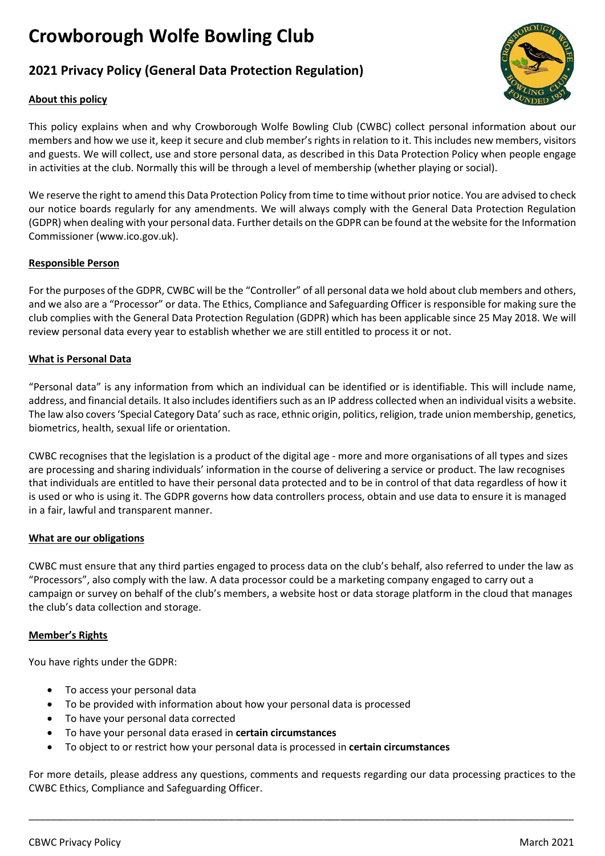# **Crowborough Wolfe Bowling Club**

# **2021 Privacy Policy (General Data Protection Regulation)**

# **About this policy**



This policy explains when and why Crowborough Wolfe Bowling Club (CWBC) collect personal information about our members and how we use it, keep it secure and club member's rights in relation to it. This includes new members, visitors and guests. We will collect, use and store personal data, as described in this Data Protection Policy when people engage in activities at the club. Normally this will be through a level of membership (whether playing or social).

We reserve the right to amend this Data Protection Policy from time to time without prior notice. You are advised to check our notice boards regularly for any amendments. We will always comply with the General Data Protection Regulation (GDPR) when dealing with your personal data. Further details on the GDPR can be found at the website for the Information Commissioner (www.ico.gov.uk).

## **Responsible Person**

For the purposes of the GDPR, CWBC will be the "Controller" of all personal data we hold about club members and others, and we also are a "Processor" or data. The Ethics, Compliance and Safeguarding Officer is responsible for making sure the club complies with the General Data Protection Regulation (GDPR) which has been applicable since 25 May 2018. We will review personal data every year to establish whether we are still entitled to process it or not.

## **What is Personal Data**

"Personal data" is any information from which an individual can be identified or is identifiable. This will include name, address, and financial details. It also includes identifiers such as an IP address collected when an individual visits a website. The law also covers 'Special Category Data' such as race, ethnic origin, politics, religion, trade union membership, genetics, biometrics, health, sexual life or orientation.

CWBC recognises that the legislation is a product of the digital age - more and more organisations of all types and sizes are processing and sharing individuals' information in the course of delivering a service or product. The law recognises that individuals are entitled to have their personal data protected and to be in control of that data regardless of how it is used or who is using it. The GDPR governs how data controllers process, obtain and use data to ensure it is managed in a fair, lawful and transparent manner.

#### **What are our obligations**

CWBC must ensure that any third parties engaged to process data on the club's behalf, also referred to under the law as "Processors", also comply with the law. A data processor could be a marketing company engaged to carry out a campaign or survey on behalf of the club's members, a website host or data storage platform in the cloud that manages the club's data collection and storage.

#### **Member's Rights**

You have rights under the GDPR:

- To access your personal data
- To be provided with information about how your personal data is processed
- To have your personal data corrected
- To have your personal data erased in **certain circumstances**
- To object to or restrict how your personal data is processed in **certain circumstances**

For more details, please address any questions, comments and requests regarding our data processing practices to the CWBC Ethics, Compliance and Safeguarding Officer.

\_\_\_\_\_\_\_\_\_\_\_\_\_\_\_\_\_\_\_\_\_\_\_\_\_\_\_\_\_\_\_\_\_\_\_\_\_\_\_\_\_\_\_\_\_\_\_\_\_\_\_\_\_\_\_\_\_\_\_\_\_\_\_\_\_\_\_\_\_\_\_\_\_\_\_\_\_\_\_\_\_\_\_\_\_\_\_\_\_\_\_\_\_\_\_\_\_\_